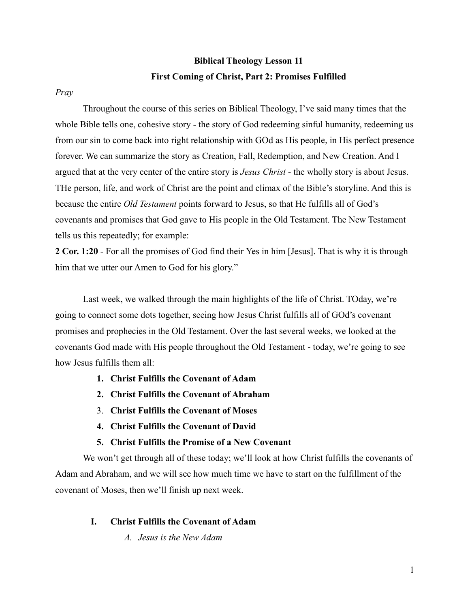# **Biblical Theology Lesson 11 First Coming of Christ, Part 2: Promises Fulfilled**

## *Pray*

Throughout the course of this series on Biblical Theology, I've said many times that the whole Bible tells one, cohesive story - the story of God redeeming sinful humanity, redeeming us from our sin to come back into right relationship with GOd as His people, in His perfect presence forever. We can summarize the story as Creation, Fall, Redemption, and New Creation. And I argued that at the very center of the entire story is *Jesus Christ -* the wholly story is about Jesus. THe person, life, and work of Christ are the point and climax of the Bible's storyline. And this is because the entire *Old Testament* points forward to Jesus, so that He fulfills all of God's covenants and promises that God gave to His people in the Old Testament. The New Testament tells us this repeatedly; for example:

**2 Cor. 1:20** *-* For all the promises of God find their Yes in him [Jesus]. That is why it is through him that we utter our Amen to God for his glory."

Last week, we walked through the main highlights of the life of Christ. TOday, we're going to connect some dots together, seeing how Jesus Christ fulfills all of GOd's covenant promises and prophecies in the Old Testament. Over the last several weeks, we looked at the covenants God made with His people throughout the Old Testament - today, we're going to see how Jesus fulfills them all:

- **1. Christ Fulfills the Covenant of Adam**
- **2. Christ Fulfills the Covenant of Abraham**
- 3. **Christ Fulfills the Covenant of Moses**
- **4. Christ Fulfills the Covenant of David**
- **5. Christ Fulfills the Promise of a New Covenant**

We won't get through all of these today; we'll look at how Christ fulfills the covenants of Adam and Abraham, and we will see how much time we have to start on the fulfillment of the covenant of Moses, then we'll finish up next week.

# **I. Christ Fulfills the Covenant of Adam**

*A. Jesus is the New Adam*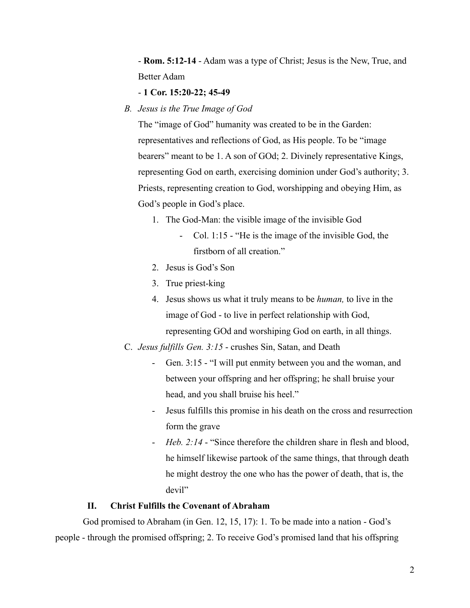- **Rom. 5:12-14** - Adam was a type of Christ; Jesus is the New, True, and Better Adam

#### - **1 Cor. 15:20-22; 45-49**

*B. Jesus is the True Image of God*

The "image of God" humanity was created to be in the Garden: representatives and reflections of God, as His people. To be "image bearers" meant to be 1. A son of GOd; 2. Divinely representative Kings, representing God on earth, exercising dominion under God's authority; 3. Priests, representing creation to God, worshipping and obeying Him, as God's people in God's place.

- 1. The God-Man: the visible image of the invisible God
	- Col. 1:15 "He is the image of the invisible God, the firstborn of all creation."
- 2. Jesus is God's Son
- 3. True priest-king
- 4. Jesus shows us what it truly means to be *human,* to live in the image of God - to live in perfect relationship with God, representing GOd and worshiping God on earth, in all things.
- C. *Jesus fulfills Gen. 3:15* crushes Sin, Satan, and Death
	- Gen. 3:15 "I will put enmity between you and the woman, and between your offspring and her offspring; he shall bruise your head, and you shall bruise his heel."
	- Jesus fulfills this promise in his death on the cross and resurrection form the grave
	- *Heb. 2:14* "Since therefore the children share in flesh and blood, he himself likewise partook of the same things, that through death he might destroy the one who has the power of death, that is, the devil"

### **II. Christ Fulfills the Covenant of Abraham**

God promised to Abraham (in Gen. 12, 15, 17): 1. To be made into a nation - God's people - through the promised offspring; 2. To receive God's promised land that his offspring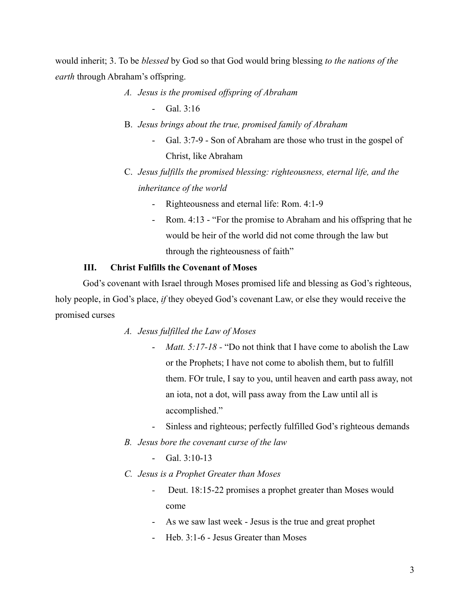would inherit; 3. To be *blessed* by God so that God would bring blessing *to the nations of the earth* through Abraham's offspring.

- *A. Jesus is the promised offspring of Abraham*
	- Gal. 3:16
- B. *Jesus brings about the true, promised family of Abraham*
	- Gal. 3:7-9 Son of Abraham are those who trust in the gospel of Christ, like Abraham
- C. *Jesus fulfills the promised blessing: righteousness, eternal life, and the inheritance of the world*
	- Righteousness and eternal life: Rom. 4:1-9
	- Rom. 4:13 "For the promise to Abraham and his offspring that he would be heir of the world did not come through the law but through the righteousness of faith"

# **III. Christ Fulfills the Covenant of Moses**

God's covenant with Israel through Moses promised life and blessing as God's righteous, holy people, in God's place, *if* they obeyed God's covenant Law, or else they would receive the promised curses

- *A. Jesus fulfilled the Law of Moses*
	- *Matt. 5:17-18 -* "Do not think that I have come to abolish the Law or the Prophets; I have not come to abolish them, but to fulfill them. FOr trule, I say to you, until heaven and earth pass away, not an iota, not a dot, will pass away from the Law until all is accomplished."
	- Sinless and righteous; perfectly fulfilled God's righteous demands
- *B. Jesus bore the covenant curse of the law*
	- $Gal.3:10-13$
- *C. Jesus is a Prophet Greater than Moses*
	- *-* Deut. 18:15-22 promises a prophet greater than Moses would come
	- As we saw last week Jesus is the true and great prophet
	- Heb. 3:1-6 Jesus Greater than Moses